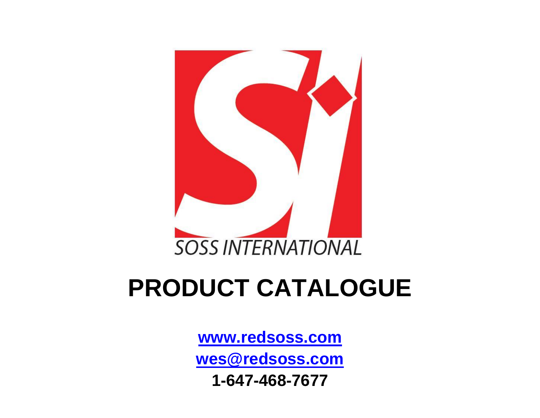

## **PRODUCT CATALOGUE**

**[www.redsoss.com](http://www.redsoss.com/) [wes@redsoss.com](mailto:wes@redsoss.com) 1-647-468-7677**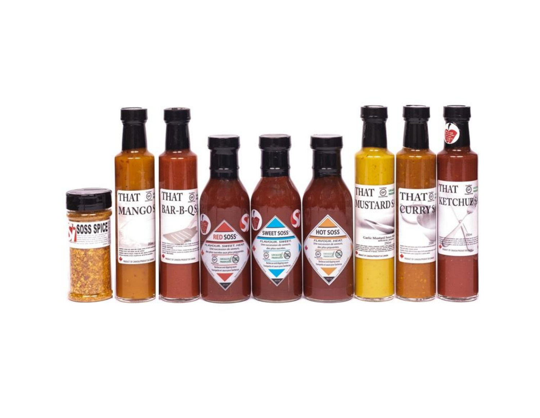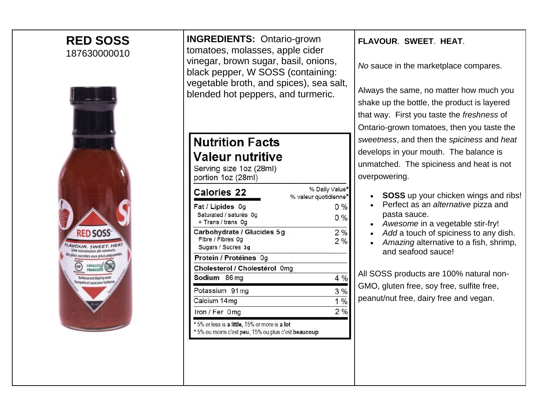| <b>RED SOSS</b><br>187630000010<br>RED SOSS<br><b>VOUR. SWEET. HEA</b><br>Une succession de saveurs.<br>es plus sucrées aux plus piquante<br><b>LOCALLY</b><br>PEADLICED<br>arbecue and digging sauce<br>rempette et sauce pour barbeout | <b>INGREDIENTS: Ontario-grown</b><br>tomatoes, molasses, apple cider<br>vinegar, brown sugar, basil, onions,<br>black pepper, W SOSS (containing:<br>vegetable broth, and spices), sea salt,<br>blended hot peppers, and turmeric.                           | FLAVOUR. SWEET. HEAT.<br>No sauce in the marketplace compares.                                                                                                                                                                                  |
|------------------------------------------------------------------------------------------------------------------------------------------------------------------------------------------------------------------------------------------|--------------------------------------------------------------------------------------------------------------------------------------------------------------------------------------------------------------------------------------------------------------|-------------------------------------------------------------------------------------------------------------------------------------------------------------------------------------------------------------------------------------------------|
|                                                                                                                                                                                                                                          |                                                                                                                                                                                                                                                              | Always the same, no matter how much you<br>shake up the bottle, the product is layered<br>that way. First you taste the freshness of<br>Ontario-grown tomatoes, then you taste the                                                              |
|                                                                                                                                                                                                                                          | <b>Nutrition Facts</b><br><b>Valeur nutritive</b><br>Serving size 1oz (28ml)<br>portion 1oz (28ml)                                                                                                                                                           | sweetness, and then the spiciness and heat<br>develops in your mouth. The balance is<br>unmatched. The spiciness and heat is not<br>overpowering.                                                                                               |
|                                                                                                                                                                                                                                          | % Daily Value*<br><b>Calories 22</b><br>% valeur quotidienne*<br>$0\%$<br>Fat / Lipides 0g<br>Saturated / saturés 0g<br>$0\%$<br>+ Trans / trans 0g<br>Carbohydrate / Glucides 5g<br>2%<br>Fibre / Fibres 0g<br>2%<br>Sugars / Sucres 3g                     | <b>SOSS</b> up your chicken wings and ribs!<br>Perfect as an alternative pizza and<br>pasta sauce.<br>Awesome in a vegetable stir-fry!<br>Add a touch of spiciness to any dish.<br>Amazing alternative to a fish, shrimp,<br>and seafood sauce! |
|                                                                                                                                                                                                                                          | Protein / Protéines 0g<br>Cholesterol / Cholestérol 0mg<br>Sodium 86mg<br>4 %<br>Potassium 91mg<br>3%<br>1%<br>Calcium 14mg<br>2%<br>Iron / Fer 0 mg<br>* 5% or less is a little, 15% or more is a lot<br>*5% ou moins c'est peu, 15% ou plus c'est beaucoup | All SOSS products are 100% natural non-<br>GMO, gluten free, soy free, sulfite free,<br>peanut/nut free, dairy free and vegan.                                                                                                                  |
|                                                                                                                                                                                                                                          |                                                                                                                                                                                                                                                              |                                                                                                                                                                                                                                                 |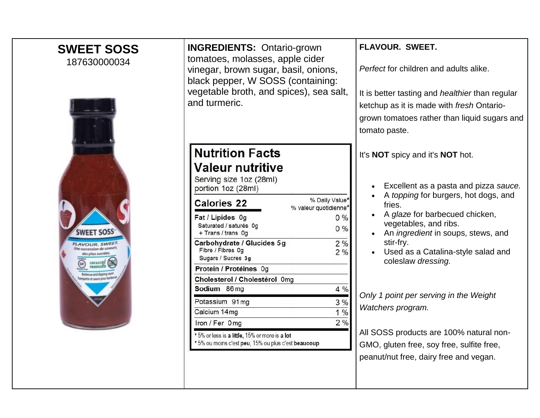| <b>SWEET SOSS</b><br>187630000034                                                                                                      | <b>INGREDIENTS: Ontario-grown</b><br>tomatoes, molasses, apple cider<br>vinegar, brown sugar, basil, onions,<br>black pepper, W SOSS (containing:<br>vegetable broth, and spices), sea salt,<br>and turmeric.                                                                                                                                                                                                                                                                                                                                                                                                   | <b>FLAVOUR. SWEET.</b><br>Perfect for children and adults alike.<br>It is better tasting and healthier than regular<br>ketchup as it is made with fresh Ontario-<br>grown tomatoes rather than liquid sugars and<br>tomato paste.                                                                                                                                                                                                                                                                                                       |
|----------------------------------------------------------------------------------------------------------------------------------------|-----------------------------------------------------------------------------------------------------------------------------------------------------------------------------------------------------------------------------------------------------------------------------------------------------------------------------------------------------------------------------------------------------------------------------------------------------------------------------------------------------------------------------------------------------------------------------------------------------------------|-----------------------------------------------------------------------------------------------------------------------------------------------------------------------------------------------------------------------------------------------------------------------------------------------------------------------------------------------------------------------------------------------------------------------------------------------------------------------------------------------------------------------------------------|
| <b>SWEET SOSS</b><br>FLAVOUR, SWEET<br>Une succession de saveurs.<br>des plus sucrées.<br><b>LOCALLY</b><br>Barbecue and dipping sauth | <b>Nutrition Facts</b><br><b>Valeur nutritive</b><br>Serving size 1oz (28ml)<br>portion 1oz (28ml)<br>% Daily Value*<br><b>Calories 22</b><br>% valeur quotidienne*<br>$0\%$<br>Fat / Lipides 0g<br>Saturated / saturés 0g<br>$0\%$<br>+ Trans / trans 0g<br>Carbohydrate / Glucides 5g<br>2%<br>Fibre / Fibres 0g<br>2%<br>Sugars / Sucres 3g<br>Protein / Protéines 0g<br>Cholesterol / Cholestérol 0mg<br>Sodium 86mg<br>4 %<br>Potassium 91mg<br>3 %<br>Calcium 14mg<br>1%<br>2%<br>Iron / Fer 0 mg<br>* 5% or less is a little, 15% or more is a lot<br>*5% ou moins c'est peu, 15% ou plus c'est beaucoup | It's NOT spicy and it's NOT hot.<br>Excellent as a pasta and pizza sauce.<br>A topping for burgers, hot dogs, and<br>fries.<br>A glaze for barbecued chicken,<br>vegetables, and ribs.<br>An <i>ingredient</i> in soups, stews, and<br>$\bullet$<br>stir-fry.<br>Used as a Catalina-style salad and<br>$\bullet$<br>coleslaw dressing.<br>Only 1 point per serving in the Weight<br>Watchers program.<br>All SOSS products are 100% natural non-<br>GMO, gluten free, soy free, sulfite free,<br>peanut/nut free, dairy free and vegan. |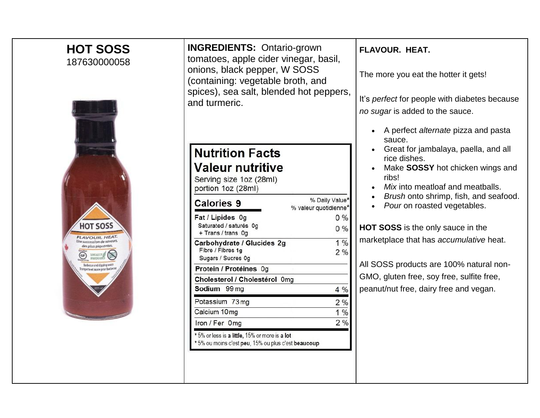| <b>HOT SOSS</b><br>187630000058                                                                                                                                              | <b>INGREDIENTS: Ontario-grown</b><br>tomatoes, apple cider vinegar, basil,<br>onions, black pepper, W SOSS                                                                                                                                                                                                                                                                                                                                                                        | <b>FLAVOUR. HEAT.</b><br>The more you eat the hotter it gets!                                                                                                                                                                                                                                                                                                                                                                             |
|------------------------------------------------------------------------------------------------------------------------------------------------------------------------------|-----------------------------------------------------------------------------------------------------------------------------------------------------------------------------------------------------------------------------------------------------------------------------------------------------------------------------------------------------------------------------------------------------------------------------------------------------------------------------------|-------------------------------------------------------------------------------------------------------------------------------------------------------------------------------------------------------------------------------------------------------------------------------------------------------------------------------------------------------------------------------------------------------------------------------------------|
| <b>HOT SOSS</b><br><i><b>FLAVOUR, HEAT.</b></i><br>he succession de saveurs<br>des plus piquantes.<br>LOCALLY<br>Simbecue and dipping sauce<br>mpette et sauce pour barbecat | (containing: vegetable broth, and<br>spices), sea salt, blended hot peppers,<br>and turmeric.                                                                                                                                                                                                                                                                                                                                                                                     | It's perfect for people with diabetes because<br>no sugar is added to the sauce.<br>A perfect alternate pizza and pasta                                                                                                                                                                                                                                                                                                                   |
|                                                                                                                                                                              | <b>Nutrition Facts</b><br><b>Valeur nutritive</b><br>Serving size 1oz (28ml)<br>portion 1oz (28ml)<br>% Daily Value*<br><b>Calories 9</b><br>% valeur quotidienne*<br>Fat / Lipides 0g<br>$0\%$<br>Saturated / saturés 0g<br>$0\%$<br>+ Trans / trans 0g<br>$1\%$<br>Carbohydrate / Glucides 2g<br>Fibre / Fibres 1g<br>2%<br>Sugars / Sucres 0g<br>Protein / Protéines 0g<br>Cholesterol / Cholestérol 0mg<br>Sodium 99 mg<br>4 %<br>Potassium 73 mg<br>2%<br>Calcium 10mg<br>1% | sauce.<br>Great for jambalaya, paella, and all<br>rice dishes.<br>Make SOSSY hot chicken wings and<br>ribs!<br>Mix into meatloaf and meatballs.<br>Brush onto shrimp, fish, and seafood.<br>Pour on roasted vegetables.<br>HOT SOSS is the only sauce in the<br>marketplace that has accumulative heat.<br>All SOSS products are 100% natural non-<br>GMO, gluten free, soy free, sulfite free,<br>peanut/nut free, dairy free and vegan. |
|                                                                                                                                                                              | 2%<br>Iron / Fer 0mg<br>* 5% or less is a little, 15% or more is a lot<br>*5% ou moins c'est peu, 15% ou plus c'est beaucoup                                                                                                                                                                                                                                                                                                                                                      |                                                                                                                                                                                                                                                                                                                                                                                                                                           |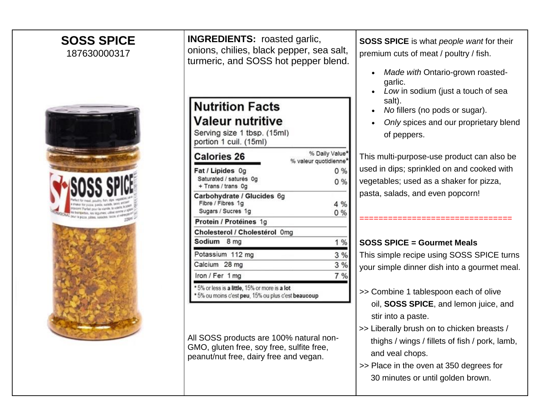| <b>SOSS SPICE</b><br>187630000317 | <b>INGREDIENTS:</b> roasted garlic,<br>onions, chilies, black pepper, sea salt,<br>turmeric, and SOSS hot pepper blend.                                                                                                                                             | <b>SOSS SPICE</b> is what people want for their<br>premium cuts of meat / poultry / fish.<br>Made with Ontario-grown roasted-<br>garlic.<br>Low in sodium (just a touch of sea                                                                                 |
|-----------------------------------|---------------------------------------------------------------------------------------------------------------------------------------------------------------------------------------------------------------------------------------------------------------------|----------------------------------------------------------------------------------------------------------------------------------------------------------------------------------------------------------------------------------------------------------------|
|                                   | <b>Nutrition Facts</b><br><b>Valeur nutritive</b><br>Serving size 1 tbsp. (15ml)<br>portion 1 cuil. (15ml)                                                                                                                                                          | salt).<br>No fillers (no pods or sugar).<br>Only spices and our proprietary blend<br>of peppers.                                                                                                                                                               |
|                                   | % Daily Value*<br><b>Calories 26</b><br>% valeur quotidienne'<br>Fat / Lipides 0g<br>$0\%$<br>Saturated / saturés 0g<br>0%<br>+ Trans / trans 0g<br>Carbohydrate / Glucides 6g<br>Fibre / Fibres 1g<br>4 %<br>Sugars / Sucres 1g<br>0%                              | This multi-purpose-use product can also be<br>used in dips; sprinkled on and cooked with<br>vegetables; used as a shaker for pizza,<br>pasta, salads, and even popcorn!<br>============                                                                        |
|                                   | Protein / Protéines 1g<br>Cholesterol / Cholestérol 0mg<br>Sodium 8 mg<br>1 %<br>Potassium 112 mg<br>3 %<br>Calcium 28 mg<br>3 %<br>Iron / Fer 1 mg<br>7 %<br>* 5% or less is a little, 15% or more is a lot<br>* 5% ou moins c'est peu, 15% ou plus c'est beaucoup | <b>SOSS SPICE = Gourmet Meals</b><br>This simple recipe using SOSS SPICE turns<br>your simple dinner dish into a gourmet meal.<br>>> Combine 1 tablespoon each of olive                                                                                        |
|                                   | All SOSS products are 100% natural non-<br>GMO, gluten free, soy free, sulfite free,<br>peanut/nut free, dairy free and vegan.                                                                                                                                      | oil, SOSS SPICE, and lemon juice, and<br>stir into a paste.<br>>> Liberally brush on to chicken breasts /<br>thighs / wings / fillets of fish / pork, lamb,<br>and veal chops.<br>>> Place in the oven at 350 degrees for<br>30 minutes or until golden brown. |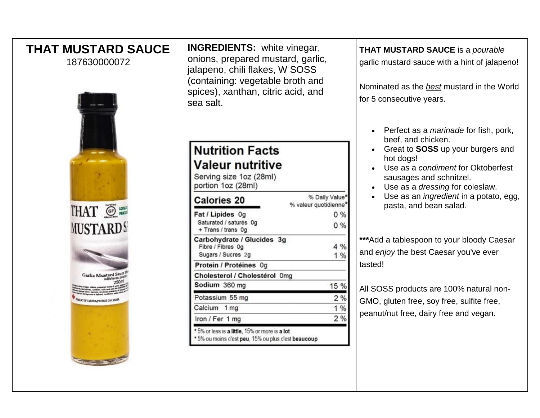| <b>THAT MUSTARD SAUCE</b><br>187630000072<br>THAT OF HOTEL<br><b>MUSTARDS</b><br>Garlic Mustard Sat<br><b>NRUCE OF CANADA ARRODUIT OR CANA</b> | <b>INGREDIENTS:</b> white vinegar,<br>onions, prepared mustard, garlic,<br>jalapeno, chili flakes, W SOSS<br>(containing: vegetable broth and<br>spices), xanthan, citric acid, and<br>sea salt.<br><b>Nutrition Facts</b><br>Valeur nutritive<br>Serving size 1oz (28ml)<br>portion 1oz (28ml)<br>% Daily Value*<br><b>Calories 20</b><br>% valeur quotidienne'<br>Fat / Lipides 0g<br>0%<br>Saturated / saturés 0g<br>0%<br>+ Trans / trans 0g<br>Carbohydrate / Glucides 3g<br>4 %<br>Fibre / Fibres 0g<br>Sugars / Sucres 2g<br>1 %<br>Protein / Protéines 0g<br>Cholesterol / Cholestérol 0mg<br>Sodium 360 mg<br>15 %<br>Potassium 55 mg<br>2%<br>Calcium 1 mg<br>1 % | <b>THAT MUSTARD SAUCE</b> is a pourable<br>garlic mustard sauce with a hint of jalapeno!<br>Nominated as the <b>best</b> mustard in the World<br>for 5 consecutive years.<br>Perfect as a <i>marinade</i> for fish, pork,<br>beef, and chicken.<br>Great to SOSS up your burgers and<br>hot dogs!<br>Use as a condiment for Oktoberfest<br>sausages and schnitzel.<br>Use as a dressing for coleslaw.<br>Use as an <i>ingredient</i> in a potato, egg,<br>pasta, and bean salad.<br>*** Add a tablespoon to your bloody Caesar<br>and enjoy the best Caesar you've ever<br>tasted!<br>All SOSS products are 100% natural non-<br>GMO, gluten free, soy free, sulfite free, |
|------------------------------------------------------------------------------------------------------------------------------------------------|-----------------------------------------------------------------------------------------------------------------------------------------------------------------------------------------------------------------------------------------------------------------------------------------------------------------------------------------------------------------------------------------------------------------------------------------------------------------------------------------------------------------------------------------------------------------------------------------------------------------------------------------------------------------------------|----------------------------------------------------------------------------------------------------------------------------------------------------------------------------------------------------------------------------------------------------------------------------------------------------------------------------------------------------------------------------------------------------------------------------------------------------------------------------------------------------------------------------------------------------------------------------------------------------------------------------------------------------------------------------|
|                                                                                                                                                | 2%<br>Iron / Fer 1 mg<br>* 5% or less is a little, 15% or more is a lot<br>* 5% ou moins c'est peu, 15% ou plus c'est beaucoup                                                                                                                                                                                                                                                                                                                                                                                                                                                                                                                                              | peanut/nut free, dairy free and vegan.                                                                                                                                                                                                                                                                                                                                                                                                                                                                                                                                                                                                                                     |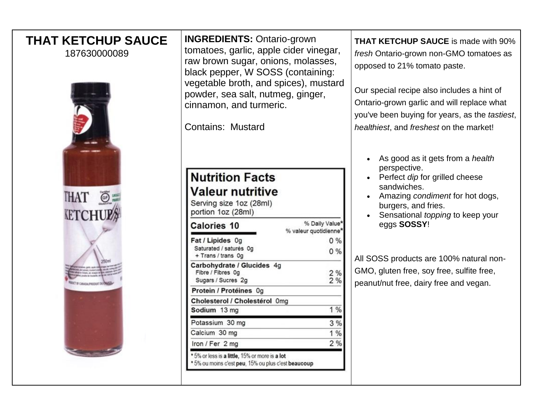| <b>THAT KETCHUP SAUCE</b><br>187630000089 | <b>INGREDIENTS: Ontario-grown</b><br>tomatoes, garlic, apple cider vinegar,<br>raw brown sugar, onions, molasses,<br>black pepper, W SOSS (containing:<br>vegetable broth, and spices), mustard<br>powder, sea salt, nutmeg, ginger,<br>cinnamon, and turmeric.<br><b>Contains: Mustard</b>                                                                                                                                                                                                                                                                                                                        | <b>THAT KETCHUP SAUCE</b> is made with 90%<br>fresh Ontario-grown non-GMO tomatoes as<br>opposed to 21% tomato paste.<br>Our special recipe also includes a hint of<br>Ontario-grown garlic and will replace what<br>you've been buying for years, as the <i>tastiest</i> ,<br>healthiest, and freshest on the market!                           |
|-------------------------------------------|--------------------------------------------------------------------------------------------------------------------------------------------------------------------------------------------------------------------------------------------------------------------------------------------------------------------------------------------------------------------------------------------------------------------------------------------------------------------------------------------------------------------------------------------------------------------------------------------------------------------|--------------------------------------------------------------------------------------------------------------------------------------------------------------------------------------------------------------------------------------------------------------------------------------------------------------------------------------------------|
| THAT OF<br>KETCHULA<br>ASA/IRRODUST DR    | <b>Nutrition Facts</b><br>Valeur nutritive<br>Serving size 1oz (28ml)<br>portion 1oz (28ml)<br>% Daily Value®<br><b>Calories 10</b><br>% valeur quotidienne <sup>9</sup><br>Fat / Lipides 0g<br>0%<br>Saturated / saturés 0g<br>0%<br>+ Trans / trans 0g<br>Carbohydrate / Glucides 4g<br>Fibre / Fibres 0g<br>2%<br>2%<br>Sugars / Sucres 2g<br>Protein / Protéines 0g<br>Cholesterol / Cholestérol 0mg<br>1%<br>Sodium 13 mg<br>Potassium 30 mg<br>3 %<br>1 %<br>Calcium 30 mg<br>2%<br>Iron / Fer 2 mg<br>* 5% or less is a little, 15% or more is a lot<br>* 5% ou moins c'est peu, 15% ou plus c'est beaucoup | As good as it gets from a health<br>perspective.<br>Perfect dip for grilled cheese<br>sandwiches.<br>Amazing condiment for hot dogs,<br>burgers, and fries.<br>Sensational topping to keep your<br>eggs SOSSY!<br>All SOSS products are 100% natural non-<br>GMO, gluten free, soy free, sulfite free,<br>peanut/nut free, dairy free and vegan. |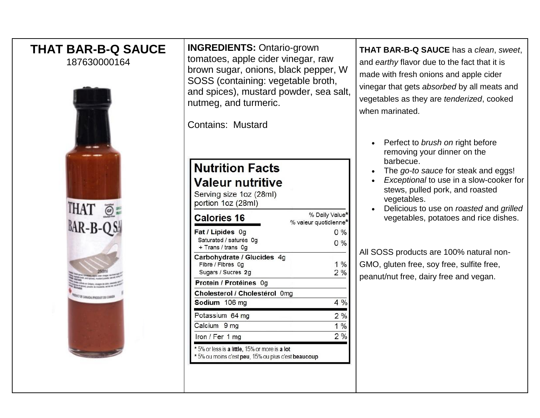| <b>THAT BAR-B-Q SAUCE</b><br>187630000164                       | <b>INGREDIENTS: Ontario-grown</b><br>tomatoes, apple cider vinegar, raw<br>brown sugar, onions, black pepper, W<br>SOSS (containing: vegetable broth,<br>and spices), mustard powder, sea salt,<br>nutmeg, and turmeric.<br><b>Contains: Mustard</b>                                                                                                                                                                                                                                                                                                                                                               | <b>THAT BAR-B-Q SAUCE</b> has a clean, sweet,<br>and earthy flavor due to the fact that it is<br>made with fresh onions and apple cider<br>vinegar that gets absorbed by all meats and<br>vegetables as they are tenderized, cooked<br>when marinated.                                                                                                                                                                                              |
|-----------------------------------------------------------------|--------------------------------------------------------------------------------------------------------------------------------------------------------------------------------------------------------------------------------------------------------------------------------------------------------------------------------------------------------------------------------------------------------------------------------------------------------------------------------------------------------------------------------------------------------------------------------------------------------------------|-----------------------------------------------------------------------------------------------------------------------------------------------------------------------------------------------------------------------------------------------------------------------------------------------------------------------------------------------------------------------------------------------------------------------------------------------------|
| $THAT$ $\odot$ :<br>BAR-B-QS<br>RICT OF CANADA/PRODUCT DU CANAD | <b>Nutrition Facts</b><br><b>Valeur nutritive</b><br>Serving size 1oz (28ml)<br>portion 1oz (28ml)<br>% Daily Value*<br><b>Calories 16</b><br>% valeur quotidienne*<br>Fat / Lipides 0g<br>$0\%$<br>Saturated / saturés 0g<br>$0\%$<br>+ Trans / trans 0g<br>Carbohydrate / Glucides 4g<br>1%<br>Fibre / Fibres 0q<br>Sugars / Sucres 2g<br>2%<br>Protein / Protéines 0g<br>Cholesterol / Cholestérol 0mg<br>4 %<br>Sodium 106 mg<br>Potassium 64 mg<br>2%<br>Calcium 9 mg<br>1%<br>2%<br>Iron / Fer 1 mg<br>* 5% or less is a little, 15% or more is a lot<br>* 5% ou moins c'est peu, 15% ou plus c'est beaucoup | Perfect to brush on right before<br>$\bullet$<br>removing your dinner on the<br>barbecue.<br>The go-to sauce for steak and eggs!<br>Exceptional to use in a slow-cooker for<br>stews, pulled pork, and roasted<br>vegetables.<br>Delicious to use on roasted and grilled<br>vegetables, potatoes and rice dishes.<br>All SOSS products are 100% natural non-<br>GMO, gluten free, soy free, sulfite free,<br>peanut/nut free, dairy free and vegan. |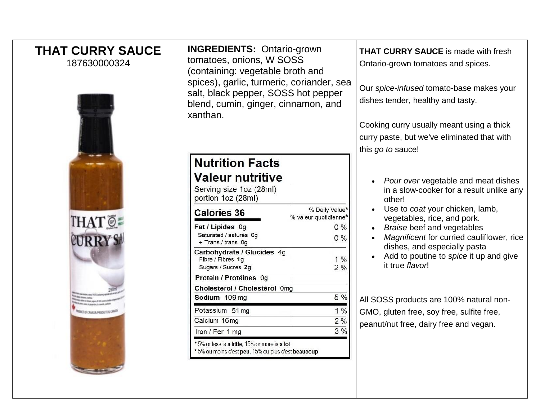| <b>THAT CURRY SAUCE</b><br>187630000324                     | <b>INGREDIENTS: Ontario-grown</b><br>tomatoes, onions, W SOSS<br>(containing: vegetable broth and<br>spices), garlic, turmeric, coriander, sea<br>salt, black pepper, SOSS hot pepper<br>blend, cumin, ginger, cinnamon, and<br>xanthan.                                                                                                                                                                                                                                                                                                                                                                            | <b>THAT CURRY SAUCE</b> is made with fresh<br>Ontario-grown tomatoes and spices.<br>Our spice-infused tomato-base makes your<br>dishes tender, healthy and tasty.<br>Cooking curry usually meant using a thick<br>curry paste, but we've eliminated that with<br>this go to sauce!                                                                                                                                                                                           |
|-------------------------------------------------------------|---------------------------------------------------------------------------------------------------------------------------------------------------------------------------------------------------------------------------------------------------------------------------------------------------------------------------------------------------------------------------------------------------------------------------------------------------------------------------------------------------------------------------------------------------------------------------------------------------------------------|------------------------------------------------------------------------------------------------------------------------------------------------------------------------------------------------------------------------------------------------------------------------------------------------------------------------------------------------------------------------------------------------------------------------------------------------------------------------------|
| THAT <sup>®</sup><br>CURRY<br>ACT OF CANADA/PRODUCT IN CARA | <b>Nutrition Facts</b><br><b>Valeur nutritive</b><br>Serving size 1oz (28ml)<br>portion 1oz (28ml)<br>% Daily Value*<br><b>Calories 36</b><br>% valeur quotidienne*<br>Fat / Lipides 0g<br>$0\%$<br>Saturated / saturés 0g<br>$0\%$<br>+ Trans / trans 0g<br>Carbohydrate / Glucides 4g<br>1%<br>Fibre / Fibres 1g<br>Sugars / Sucres 2g<br>2%<br>Protein / Protéines 0g<br>Cholesterol / Cholestérol 0mg<br>5 %<br>Sodium 109 mg<br>Potassium 51 mg<br>1%<br>Calcium 16mg<br>2%<br>3 %<br>Iron / Fer 1 mg<br>* 5% or less is a little, 15% or more is a lot<br>* 5% ou moins c'est peu, 15% ou plus c'est beaucoup | Pour over vegetable and meat dishes<br>in a slow-cooker for a result unlike any<br>other!<br>Use to coat your chicken, lamb,<br>vegetables, rice, and pork.<br><b>Braise beef and vegetables</b><br>Magnificent for curried cauliflower, rice<br>dishes, and especially pasta<br>Add to poutine to spice it up and give<br>it true flavor!<br>All SOSS products are 100% natural non-<br>GMO, gluten free, soy free, sulfite free,<br>peanut/nut free, dairy free and vegan. |